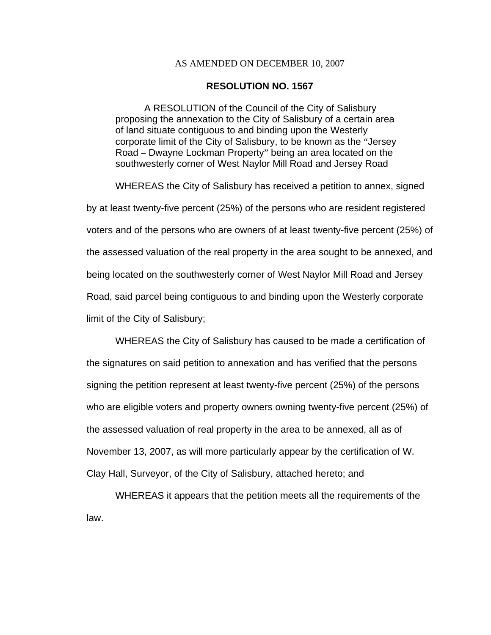## AS AMENDED ON DECEMBER 10, 2007

## **RESOLUTION NO. 1567**

A RESOLUTION of the Council of the City of Salisbury proposing the annexation to the City of Salisbury of a certain area of land situate contiguous to and binding upon the Westerly corporate limit of the City of Salisbury, to be known as the "Jersey Road – Dwayne Lockman Property" being an area located on the southwesterly corner of West Naylor Mill Road and Jersey Road

WHEREAS the City of Salisbury has received a petition to annex, signed by at least twenty-five percent (25%) of the persons who are resident registered voters and of the persons who are owners of at least twenty-five percent (25%) of the assessed valuation of the real property in the area sought to be annexed, and being located on the southwesterly corner of West Naylor Mill Road and Jersey Road, said parcel being contiguous to and binding upon the Westerly corporate limit of the City of Salisbury;

WHEREAS the City of Salisbury has caused to be made a certification of the signatures on said petition to annexation and has verified that the persons signing the petition represent at least twenty-five percent (25%) of the persons who are eligible voters and property owners owning twenty-five percent (25%) of the assessed valuation of real property in the area to be annexed, all as of November 13, 2007, as will more particularly appear by the certification of W. Clay Hall, Surveyor, of the City of Salisbury, attached hereto; and

WHEREAS it appears that the petition meets all the requirements of the law.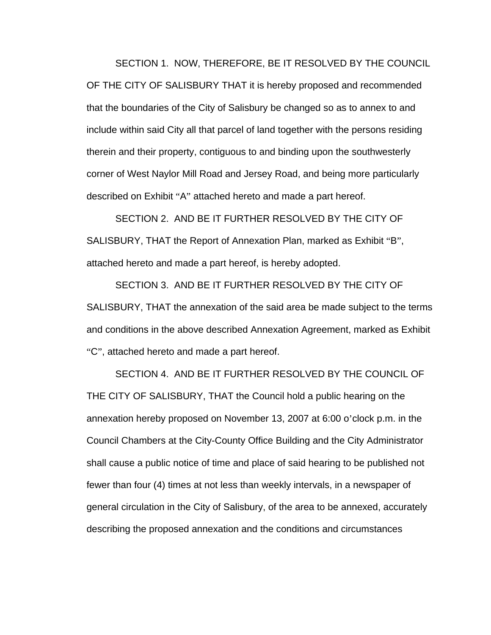SECTION 1. NOW, THEREFORE, BE IT RESOLVED BY THE COUNCIL OF THE CITY OF SALISBURY THAT it is hereby proposed and recommended that the boundaries of the City of Salisbury be changed so as to annex to and include within said City all that parcel of land together with the persons residing therein and their property, contiguous to and binding upon the southwesterly corner of West Naylor Mill Road and Jersey Road, and being more particularly described on Exhibit "A" attached hereto and made a part hereof.

SECTION 2. AND BE IT FURTHER RESOLVED BY THE CITY OF SALISBURY, THAT the Report of Annexation Plan, marked as Exhibit "B", attached hereto and made a part hereof, is hereby adopted.

SECTION 3. AND BE IT FURTHER RESOLVED BY THE CITY OF SALISBURY, THAT the annexation of the said area be made subject to the terms and conditions in the above described Annexation Agreement, marked as Exhibit "C", attached hereto and made a part hereof.

SECTION 4. AND BE IT FURTHER RESOLVED BY THE COUNCIL OF THE CITY OF SALISBURY, THAT the Council hold a public hearing on the annexation hereby proposed on November 13, 2007 at 6:00 o'clock p.m. in the Council Chambers at the City-County Office Building and the City Administrator shall cause a public notice of time and place of said hearing to be published not fewer than four (4) times at not less than weekly intervals, in a newspaper of general circulation in the City of Salisbury, of the area to be annexed, accurately describing the proposed annexation and the conditions and circumstances